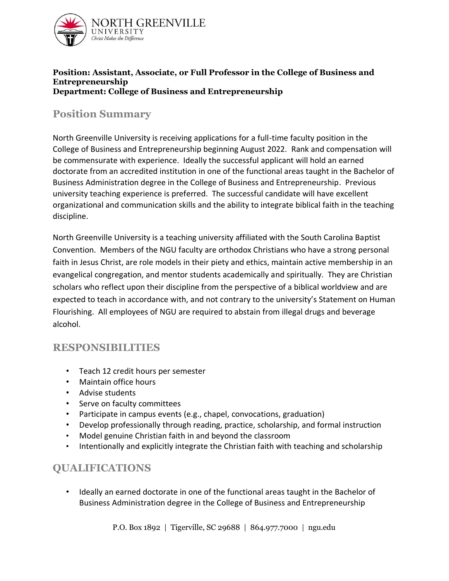

#### **Position: Assistant, Associate, or Full Professor in the College of Business and Entrepreneurship Department: College of Business and Entrepreneurship**

# **Position Summary**

North Greenville University is receiving applications for a full-time faculty position in the College of Business and Entrepreneurship beginning August 2022. Rank and compensation will be commensurate with experience. Ideally the successful applicant will hold an earned doctorate from an accredited institution in one of the functional areas taught in the Bachelor of Business Administration degree in the College of Business and Entrepreneurship. Previous university teaching experience is preferred. The successful candidate will have excellent organizational and communication skills and the ability to integrate biblical faith in the teaching discipline.

North Greenville University is a teaching university affiliated with the South Carolina Baptist Convention. Members of the NGU faculty are orthodox Christians who have a strong personal faith in Jesus Christ, are role models in their piety and ethics, maintain active membership in an evangelical congregation, and mentor students academically and spiritually. They are Christian scholars who reflect upon their discipline from the perspective of a biblical worldview and are expected to teach in accordance with, and not contrary to the university's Statement on Human Flourishing. All employees of NGU are required to abstain from illegal drugs and beverage alcohol.

### **RESPONSIBILITIES**

- Teach 12 credit hours per semester
- Maintain office hours
- Advise students
- Serve on faculty committees
- Participate in campus events (e.g., chapel, convocations, graduation)
- Develop professionally through reading, practice, scholarship, and formal instruction
- Model genuine Christian faith in and beyond the classroom
- Intentionally and explicitly integrate the Christian faith with teaching and scholarship

## **QUALIFICATIONS**

• Ideally an earned doctorate in one of the functional areas taught in the Bachelor of Business Administration degree in the College of Business and Entrepreneurship